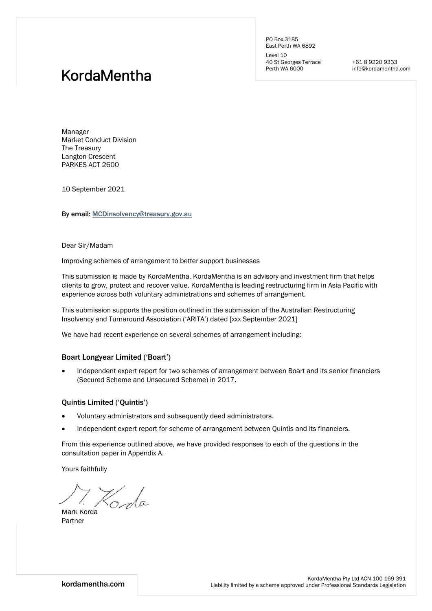PO Box 3185 East Perth WA 6892 Level 10

40 St Georges Terrace Perth WA 6000

+61 8 9220 9333 info@kordamentha.com

# KordaMentha

Manager Market Conduct Division The Treasury Langton Crescent PARKES ACT 2600

10 September 2021

By email: MCDinsolvency@treasury.gov.au

Dear Sir/Madam

Improving schemes of arrangement to better support businesses

This submission is made by KordaMentha. KordaMentha is an advisory and investment firm that helps clients to grow, protect and recover value. KordaMentha is leading restructuring firm in Asia Pacific with experience across both voluntary administrations and schemes of arrangement.

This submission supports the position outlined in the submission of the Australian Restructuring Insolvency and Turnaround Association ('ARITA') dated [xxx September 2021]

We have had recent experience on several schemes of arrangement including:

#### Boart Longyear Limited ('Boart')

 Independent expert report for two schemes of arrangement between Boart and its senior financiers (Secured Scheme and Unsecured Scheme) in 2017.

#### Quintis Limited ('Quintis')

- Voluntary administrators and subsequently deed administrators.
- Independent expert report for scheme of arrangement between Quintis and its financiers.

From this experience outlined above, we have provided responses to each of the questions in the consultation paper in Appendix A.

Yours faithfully

Korda

Mark Korda Partner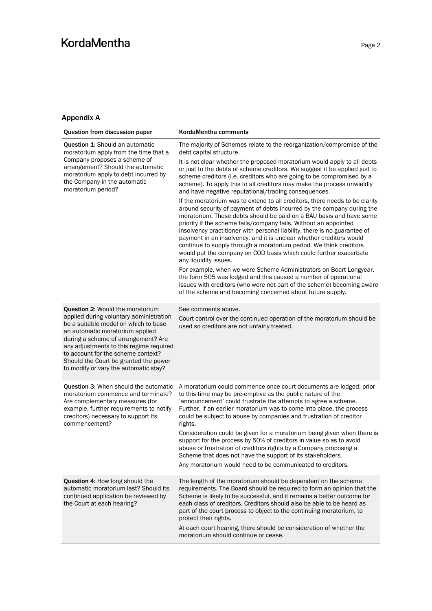### **KordaMentha**

### Appendix A

| Question from discussion paper                                                                                                                                                                                                                                                                                                                                          | KordaMentha comments                                                                                                                                                                                                                                                                                                                                                                                                                                                                                                                                                                                                     |
|-------------------------------------------------------------------------------------------------------------------------------------------------------------------------------------------------------------------------------------------------------------------------------------------------------------------------------------------------------------------------|--------------------------------------------------------------------------------------------------------------------------------------------------------------------------------------------------------------------------------------------------------------------------------------------------------------------------------------------------------------------------------------------------------------------------------------------------------------------------------------------------------------------------------------------------------------------------------------------------------------------------|
| <b>Question 1:</b> Should an automatic<br>moratorium apply from the time that a<br>Company proposes a scheme of<br>arrangement? Should the automatic<br>moratorium apply to debt incurred by<br>the Company in the automatic<br>moratorium period?                                                                                                                      | The majority of Schemes relate to the reorganization/compromise of the<br>debt capital structure.                                                                                                                                                                                                                                                                                                                                                                                                                                                                                                                        |
|                                                                                                                                                                                                                                                                                                                                                                         | It is not clear whether the proposed moratorium would apply to all debts<br>or just to the debts of scheme creditors. We suggest it be applied just to<br>scheme creditors (i.e. creditors who are going to be compromised by a<br>scheme). To apply this to all creditors may make the process unwieldly<br>and have negative reputational/trading consequences.                                                                                                                                                                                                                                                        |
|                                                                                                                                                                                                                                                                                                                                                                         | If the moratorium was to extend to all creditors, there needs to be clarity<br>around security of payment of debts incurred by the company during the<br>moratorium. These debts should be paid on a BAU basis and have some<br>priority if the scheme fails/company fails. Without an appointed<br>insolvency practitioner with personal liability, there is no guarantee of<br>payment in an insolvency, and it is unclear whether creditors would<br>continue to supply through a moratorium period. We think creditors<br>would put the company on COD basis which could further exacerbate<br>any liquidity issues. |
|                                                                                                                                                                                                                                                                                                                                                                         | For example, when we were Scheme Administrators on Boart Longyear,<br>the form 505 was lodged and this caused a number of operational<br>issues with creditors (who were not part of the scheme) becoming aware<br>of the scheme and becoming concerned about future supply.                                                                                                                                                                                                                                                                                                                                             |
| <b>Question 2: Would the moratorium</b><br>applied during voluntary administration<br>be a suitable model on which to base<br>an automatic moratorium applied<br>during a scheme of arrangement? Are<br>any adjustments to this regime required<br>to account for the scheme context?<br>Should the Court be granted the power<br>to modify or vary the automatic stay? | See comments above.                                                                                                                                                                                                                                                                                                                                                                                                                                                                                                                                                                                                      |
|                                                                                                                                                                                                                                                                                                                                                                         | Court control over the continued operation of the moratorium should be<br>used so creditors are not unfairly treated.                                                                                                                                                                                                                                                                                                                                                                                                                                                                                                    |
| <b>Question 3: When should the automatic</b><br>moratorium commence and terminate?<br>Are complementary measures (for<br>example, further requirements to notify<br>creditors) necessary to support its<br>commencement?                                                                                                                                                | A moratorium could commence once court documents are lodged; prior<br>to this time may be pre-emptive as the public nature of the<br>'announcement' could frustrate the attempts to agree a scheme.<br>Further, if an earlier moratorium was to come into place, the process<br>could be subject to abuse by companies and frustration of creditor<br>rights.                                                                                                                                                                                                                                                            |
|                                                                                                                                                                                                                                                                                                                                                                         | Consideration could be given for a moratorium being given when there is<br>support for the process by 50% of creditors in value so as to avoid<br>abuse or frustration of creditors rights by a Company proposing a<br>Scheme that does not have the support of its stakeholders.<br>Any moratorium would need to be communicated to creditors.                                                                                                                                                                                                                                                                          |
|                                                                                                                                                                                                                                                                                                                                                                         |                                                                                                                                                                                                                                                                                                                                                                                                                                                                                                                                                                                                                          |
| <b>Question 4: How long should the</b><br>automatic moratorium last? Should its<br>continued application be reviewed by<br>the Court at each hearing?                                                                                                                                                                                                                   | The length of the moratorium should be dependent on the scheme<br>requirements. The Board should be required to form an opinion that the<br>Scheme is likely to be successful, and it remains a better outcome for<br>each class of creditors. Creditors should also be able to be heard as<br>part of the court process to object to the continuing moratorium, to<br>protect their rights.                                                                                                                                                                                                                             |
|                                                                                                                                                                                                                                                                                                                                                                         | At each court hearing, there should be consideration of whether the<br>moratorium should continue or cease.                                                                                                                                                                                                                                                                                                                                                                                                                                                                                                              |